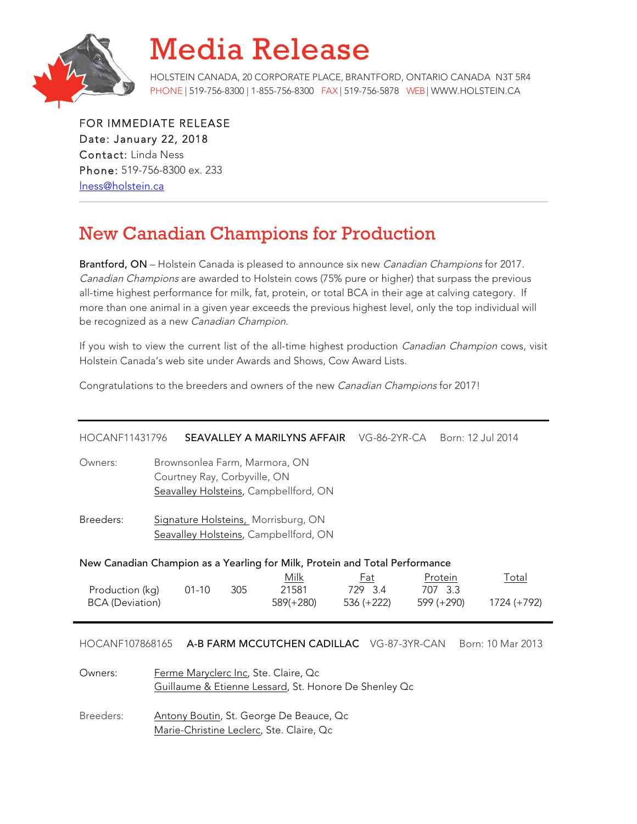

## Media Release

HOLSTEIN CANADA, 20 CORPORATE PLACE, BRANTFORD, ONTARIO CANADA N3T 5R4 PHONE | 519-756-8300 | 1-855-756-8300 FAX | 519-756-5878 WEB| WWW.HOLSTEIN.CA

FOR IMMEDIATE RELEASE Date: January 22, 2018 Contact: Linda Ness Phone: 519-756-8300 ex. 233 lness@holstein.ca

## New Canadian Champions for Production

Brantford, ON - Holstein Canada is pleased to announce six new Canadian Champions for 2017. Canadian Champions are awarded to Holstein cows (75% pure or higher) that surpass the previous all-time highest performance for milk, fat, protein, or total BCA in their age at calving category. If more than one animal in a given year exceeds the previous highest level, only the top individual will be recognized as a new Canadian Champion.

If you wish to view the current list of the all-time highest production *Canadian Champion* cows, visit Holstein Canada's web site under Awards and Shows, Cow Award Lists.

Congratulations to the breeders and owners of the new Canadian Champions for 2017!

| HOCANF11431796                                                                                           |                                                                                                        | SEAVALLEY A MARILYNS AFFAIR |     |                            | VG-86-2YR-CA                 |                                  | Born: 12 Jul 2014    |  |  |  |  |
|----------------------------------------------------------------------------------------------------------|--------------------------------------------------------------------------------------------------------|-----------------------------|-----|----------------------------|------------------------------|----------------------------------|----------------------|--|--|--|--|
| Owners:                                                                                                  | Brownsonlea Farm, Marmora, ON<br>Courtney Ray, Corbyville, ON<br>Seavalley Holsteins, Campbellford, ON |                             |     |                            |                              |                                  |                      |  |  |  |  |
| Breeders:<br>Signature Holsteins, Morrisburg, ON<br>Seavalley Holsteins, Campbellford, ON                |                                                                                                        |                             |     |                            |                              |                                  |                      |  |  |  |  |
| New Canadian Champion as a Yearling for Milk, Protein and Total Performance                              |                                                                                                        |                             |     |                            |                              |                                  |                      |  |  |  |  |
| Production (kg)<br><b>BCA</b> (Deviation)                                                                |                                                                                                        | $01 - 10$                   | 305 | Milk<br>21581<br>589(+280) | Fat<br>729 3.4<br>536 (+222) | Protein<br>707 3.3<br>599 (+290) | Total<br>1724 (+792) |  |  |  |  |
| HOCANF107868165 A-B FARM MCCUTCHEN CADILLAC VG-87-3YR-CAN<br>Born: 10 Mar 2013                           |                                                                                                        |                             |     |                            |                              |                                  |                      |  |  |  |  |
| Ferme Maryclerc Inc, Ste. Claire, Qc<br>Owners:<br>Guillaume & Etienne Lessard, St. Honore De Shenley Qc |                                                                                                        |                             |     |                            |                              |                                  |                      |  |  |  |  |

Breeders: Antony Boutin, St. George De Beauce, Qc Marie-Christine Leclerc, Ste. Claire, Qc